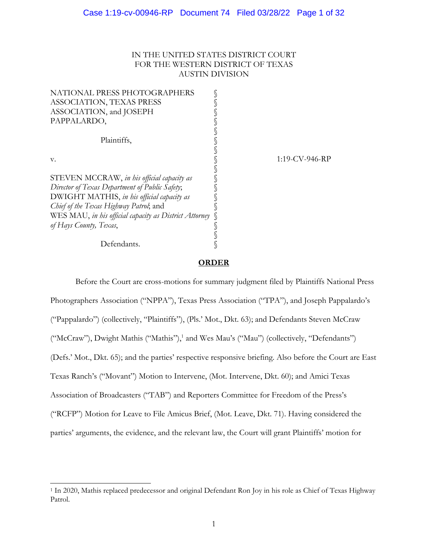# IN THE UNITED STATES DISTRICT COURT FOR THE WESTERN DISTRICT OF TEXAS AUSTIN DIVISION

| NATIONAL PRESS PHOTOGRAPHERS                           |  |     |
|--------------------------------------------------------|--|-----|
| ASSOCIATION, TEXAS PRESS                               |  |     |
| ASSOCIATION, and JOSEPH                                |  |     |
| PAPPALARDO,                                            |  |     |
|                                                        |  |     |
| Plaintiffs,                                            |  |     |
|                                                        |  |     |
| v.                                                     |  | 1:1 |
|                                                        |  |     |
| STEVEN MCCRAW, in his official capacity as             |  |     |
| Director of Texas Department of Public Safety;         |  |     |
| DWIGHT MATHIS, in his official capacity as             |  |     |
| Chief of the Texas Highway Patrol; and                 |  |     |
| WES MAU, in his official capacity as District Attorney |  |     |
| of Hays County, Texas,                                 |  |     |
|                                                        |  |     |
| Defendants.                                            |  |     |

9-CV-946-RP

## **ORDER**

Before the Court are cross-motions for summary judgment filed by Plaintiffs National Press Photographers Association ("NPPA"), Texas Press Association ("TPA"), and Joseph Pappalardo's ("Pappalardo") (collectively, "Plaintiffs"), (Pls.' Mot., Dkt. 63); and Defendants Steven McCraw ("McCraw"), Dwight Mathis ("Mathis"),<sup>1</sup> and Wes Mau's ("Mau") (collectively, "Defendants") (Defs.' Mot., Dkt. 65); and the parties' respective responsive briefing. Also before the Court are East Texas Ranch's ("Movant") Motion to Intervene, (Mot. Intervene, Dkt. 60); and Amici Texas Association of Broadcasters ("TAB") and Reporters Committee for Freedom of the Press's ("RCFP") Motion for Leave to File Amicus Brief, (Mot. Leave, Dkt. 71). Having considered the parties' arguments, the evidence, and the relevant law, the Court will grant Plaintiffs' motion for

<sup>1</sup> In 2020, Mathis replaced predecessor and original Defendant Ron Joy in his role as Chief of Texas Highway Patrol.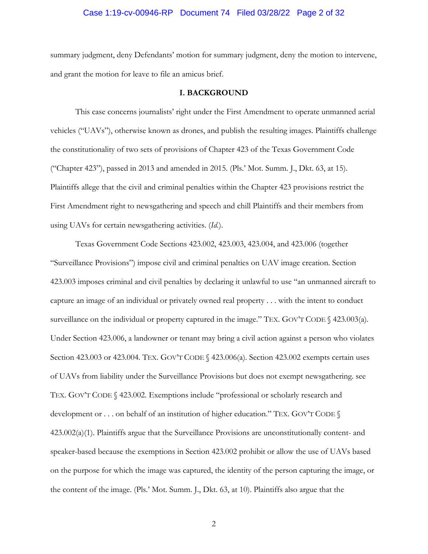# Case 1:19-cv-00946-RP Document 74 Filed 03/28/22 Page 2 of 32

summary judgment, deny Defendants' motion for summary judgment, deny the motion to intervene, and grant the motion for leave to file an amicus brief.

### **I. BACKGROUND**

This case concerns journalists' right under the First Amendment to operate unmanned aerial vehicles ("UAVs"), otherwise known as drones, and publish the resulting images. Plaintiffs challenge the constitutionality of two sets of provisions of Chapter 423 of the Texas Government Code ("Chapter 423"), passed in 2013 and amended in 2015. (Pls.' Mot. Summ. J., Dkt. 63, at 15). Plaintiffs allege that the civil and criminal penalties within the Chapter 423 provisions restrict the First Amendment right to newsgathering and speech and chill Plaintiffs and their members from using UAVs for certain newsgathering activities. (*Id.*).

Texas Government Code Sections 423.002, 423.003, 423.004, and 423.006 (together "Surveillance Provisions") impose civil and criminal penalties on UAV image creation. Section 423.003 imposes criminal and civil penalties by declaring it unlawful to use "an unmanned aircraft to capture an image of an individual or privately owned real property . . . with the intent to conduct surveillance on the individual or property captured in the image." TEX. GOV'T CODE  $\%$  423.003(a). Under Section 423.006, a landowner or tenant may bring a civil action against a person who violates Section 423.003 or 423.004. TEX. GOV'T CODE § 423.006(a). Section 423.002 exempts certain uses of UAVs from liability under the Surveillance Provisions but does not exempt newsgathering. see TEX. GOV'T CODE § 423.002. Exemptions include "professional or scholarly research and development or . . . on behalf of an institution of higher education." TEX. GOV'T CODE  $\S$ 423.002(a)(1). Plaintiffs argue that the Surveillance Provisions are unconstitutionally content- and speaker-based because the exemptions in Section 423.002 prohibit or allow the use of UAVs based on the purpose for which the image was captured, the identity of the person capturing the image, or the content of the image. (Pls.' Mot. Summ. J., Dkt. 63, at 10). Plaintiffs also argue that the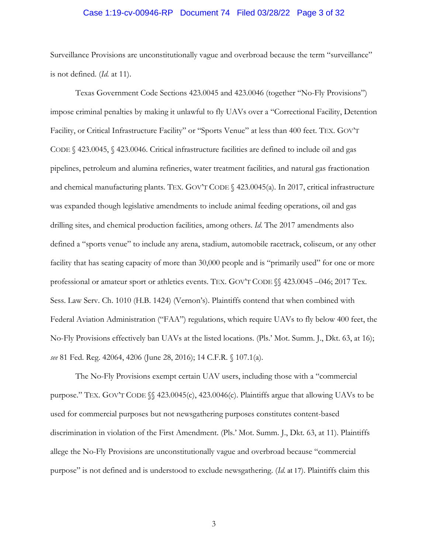# Case 1:19-cv-00946-RP Document 74 Filed 03/28/22 Page 3 of 32

Surveillance Provisions are unconstitutionally vague and overbroad because the term "surveillance" is not defined. (*Id.* at 11).

Texas Government Code Sections 423.0045 and 423.0046 (together "No-Fly Provisions") impose criminal penalties by making it unlawful to fly UAVs over a "Correctional Facility, Detention Facility, or Critical Infrastructure Facility" or "Sports Venue" at less than 400 feet. TEX. GOV'T CODE § 423.0045, § 423.0046. Critical infrastructure facilities are defined to include oil and gas pipelines, petroleum and alumina refineries, water treatment facilities, and natural gas fractionation and chemical manufacturing plants. TEX. GOV'T CODE § 423.0045(a). In 2017, critical infrastructure was expanded though legislative amendments to include animal feeding operations, oil and gas drilling sites, and chemical production facilities, among others. *Id*. The 2017 amendments also defined a "sports venue" to include any arena, stadium, automobile racetrack, coliseum, or any other facility that has seating capacity of more than 30,000 people and is "primarily used" for one or more professional or amateur sport or athletics events. TEX. GOV'T CODE §§ 423.0045 –046; 2017 Tex. Sess. Law Serv. Ch. 1010 (H.B. 1424) (Vernon's). Plaintiffs contend that when combined with Federal Aviation Administration ("FAA") regulations, which require UAVs to fly below 400 feet, the No-Fly Provisions effectively ban UAVs at the listed locations. (Pls.' Mot. Summ. J., Dkt. 63, at 16); *see* 81 Fed. Reg. 42064, 4206 (June 28, 2016); 14 C.F.R. § 107.1(a).

The No-Fly Provisions exempt certain UAV users, including those with a "commercial purpose." TEX. GOV'T CODE §§ 423.0045(c), 423.0046(c). Plaintiffs argue that allowing UAVs to be used for commercial purposes but not newsgathering purposes constitutes content-based discrimination in violation of the First Amendment. (Pls.' Mot. Summ. J., Dkt. 63, at 11). Plaintiffs allege the No-Fly Provisions are unconstitutionally vague and overbroad because "commercial purpose" is not defined and is understood to exclude newsgathering. (*Id.* at 17). Plaintiffs claim this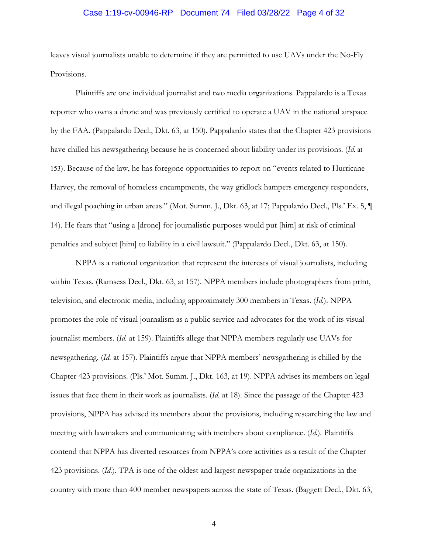# Case 1:19-cv-00946-RP Document 74 Filed 03/28/22 Page 4 of 32

leaves visual journalists unable to determine if they are permitted to use UAVs under the No-Fly Provisions.

Plaintiffs are one individual journalist and two media organizations. Pappalardo is a Texas reporter who owns a drone and was previously certified to operate a UAV in the national airspace by the FAA. (Pappalardo Decl., Dkt. 63, at 150). Pappalardo states that the Chapter 423 provisions have chilled his newsgathering because he is concerned about liability under its provisions. (*Id.* at 153). Because of the law, he has foregone opportunities to report on "events related to Hurricane Harvey, the removal of homeless encampments, the way gridlock hampers emergency responders, and illegal poaching in urban areas." (Mot. Summ. J., Dkt. 63, at 17; Pappalardo Decl., Pls.' Ex. 5, ¶ 14). He fears that "using a [drone] for journalistic purposes would put [him] at risk of criminal penalties and subject [him] to liability in a civil lawsuit." (Pappalardo Decl., Dkt. 63, at 150).

NPPA is a national organization that represent the interests of visual journalists, including within Texas. (Ramsess Decl., Dkt. 63, at 157). NPPA members include photographers from print, television, and electronic media, including approximately 300 members in Texas. (*Id.*). NPPA promotes the role of visual journalism as a public service and advocates for the work of its visual journalist members. (*Id.* at 159). Plaintiffs allege that NPPA members regularly use UAVs for newsgathering. (*Id.* at 157). Plaintiffs argue that NPPA members' newsgathering is chilled by the Chapter 423 provisions. (Pls.' Mot. Summ. J., Dkt. 163, at 19). NPPA advises its members on legal issues that face them in their work as journalists. (*Id.* at 18). Since the passage of the Chapter 423 provisions, NPPA has advised its members about the provisions, including researching the law and meeting with lawmakers and communicating with members about compliance. (*Id.*). Plaintiffs contend that NPPA has diverted resources from NPPA's core activities as a result of the Chapter 423 provisions. (*Id.*). TPA is one of the oldest and largest newspaper trade organizations in the country with more than 400 member newspapers across the state of Texas. (Baggett Decl., Dkt. 63,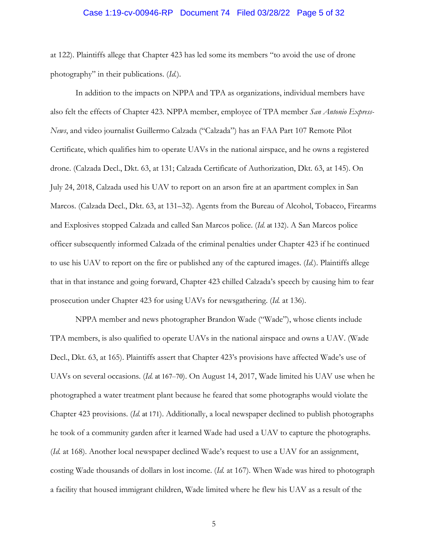## Case 1:19-cv-00946-RP Document 74 Filed 03/28/22 Page 5 of 32

at 122). Plaintiffs allege that Chapter 423 has led some its members "to avoid the use of drone photography" in their publications. (*Id.*).

 In addition to the impacts on NPPA and TPA as organizations, individual members have also felt the effects of Chapter 423. NPPA member, employee of TPA member *San Antonio Express-News*, and video journalist Guillermo Calzada ("Calzada") has an FAA Part 107 Remote Pilot Certificate, which qualifies him to operate UAVs in the national airspace, and he owns a registered drone. (Calzada Decl., Dkt. 63, at 131; Calzada Certificate of Authorization, Dkt. 63, at 145). On July 24, 2018, Calzada used his UAV to report on an arson fire at an apartment complex in San Marcos. (Calzada Decl., Dkt. 63, at 131–32). Agents from the Bureau of Alcohol, Tobacco, Firearms and Explosives stopped Calzada and called San Marcos police. (*Id.* at 132). A San Marcos police officer subsequently informed Calzada of the criminal penalties under Chapter 423 if he continued to use his UAV to report on the fire or published any of the captured images. (*Id.*). Plaintiffs allege that in that instance and going forward, Chapter 423 chilled Calzada's speech by causing him to fear prosecution under Chapter 423 for using UAVs for newsgathering. (*Id.* at 136).

NPPA member and news photographer Brandon Wade ("Wade"), whose clients include TPA members, is also qualified to operate UAVs in the national airspace and owns a UAV. (Wade Decl., Dkt. 63, at 165). Plaintiffs assert that Chapter 423's provisions have affected Wade's use of UAVs on several occasions. (*Id.* at 167–70). On August 14, 2017, Wade limited his UAV use when he photographed a water treatment plant because he feared that some photographs would violate the Chapter 423 provisions. (*Id.* at 171). Additionally, a local newspaper declined to publish photographs he took of a community garden after it learned Wade had used a UAV to capture the photographs. (*Id.* at 168). Another local newspaper declined Wade's request to use a UAV for an assignment, costing Wade thousands of dollars in lost income. (*Id.* at 167). When Wade was hired to photograph a facility that housed immigrant children, Wade limited where he flew his UAV as a result of the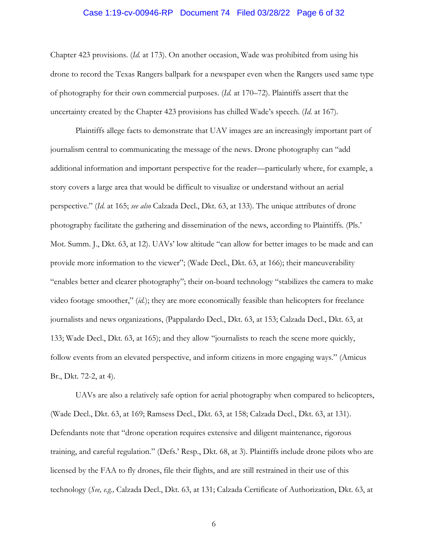# Case 1:19-cv-00946-RP Document 74 Filed 03/28/22 Page 6 of 32

Chapter 423 provisions. (*Id.* at 173). On another occasion, Wade was prohibited from using his drone to record the Texas Rangers ballpark for a newspaper even when the Rangers used same type of photography for their own commercial purposes. (*Id.* at 170–72). Plaintiffs assert that the uncertainty created by the Chapter 423 provisions has chilled Wade's speech. (*Id.* at 167).

Plaintiffs allege facts to demonstrate that UAV images are an increasingly important part of journalism central to communicating the message of the news. Drone photography can "add additional information and important perspective for the reader—particularly where, for example, a story covers a large area that would be difficult to visualize or understand without an aerial perspective." (*Id.* at 165; *see also* Calzada Decl., Dkt. 63, at 133). The unique attributes of drone photography facilitate the gathering and dissemination of the news, according to Plaintiffs. (Pls.' Mot. Summ. J., Dkt. 63, at 12). UAVs' low altitude "can allow for better images to be made and can provide more information to the viewer"; (Wade Decl., Dkt. 63, at 166); their maneuverability "enables better and clearer photography"; their on-board technology "stabilizes the camera to make video footage smoother," (*id.*); they are more economically feasible than helicopters for freelance journalists and news organizations, (Pappalardo Decl., Dkt. 63, at 153; Calzada Decl., Dkt. 63, at 133; Wade Decl., Dkt. 63, at 165); and they allow "journalists to reach the scene more quickly, follow events from an elevated perspective, and inform citizens in more engaging ways." (Amicus Br., Dkt. 72-2, at 4).

UAVs are also a relatively safe option for aerial photography when compared to helicopters, (Wade Decl., Dkt. 63, at 169; Ramsess Decl., Dkt. 63, at 158; Calzada Decl., Dkt. 63, at 131). Defendants note that "drone operation requires extensive and diligent maintenance, rigorous training, and careful regulation." (Defs.' Resp., Dkt. 68, at 3). Plaintiffs include drone pilots who are licensed by the FAA to fly drones, file their flights, and are still restrained in their use of this technology (*See, e.g.,* Calzada Decl., Dkt. 63, at 131; Calzada Certificate of Authorization, Dkt. 63, at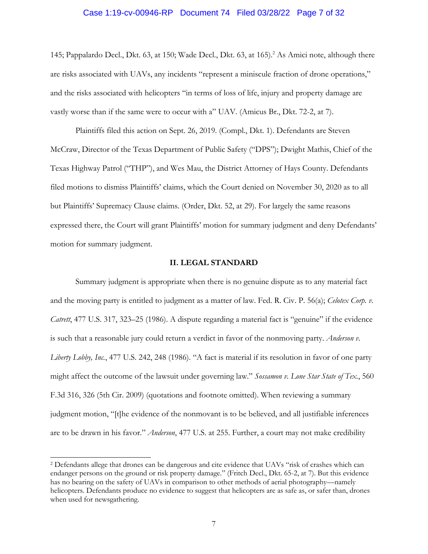### Case 1:19-cv-00946-RP Document 74 Filed 03/28/22 Page 7 of 32

145; Pappalardo Decl., Dkt. 63, at 150; Wade Decl., Dkt. 63, at 165).<sup>2</sup> As Amici note, although there are risks associated with UAVs, any incidents "represent a miniscule fraction of drone operations," and the risks associated with helicopters "in terms of loss of life, injury and property damage are vastly worse than if the same were to occur with a" UAV. (Amicus Br., Dkt. 72-2, at 7).

Plaintiffs filed this action on Sept. 26, 2019. (Compl., Dkt. 1). Defendants are Steven McCraw, Director of the Texas Department of Public Safety ("DPS"); Dwight Mathis, Chief of the Texas Highway Patrol ("THP"), and Wes Mau, the District Attorney of Hays County. Defendants filed motions to dismiss Plaintiffs' claims, which the Court denied on November 30, 2020 as to all but Plaintiffs' Supremacy Clause claims. (Order, Dkt. 52, at 29). For largely the same reasons expressed there, the Court will grant Plaintiffs' motion for summary judgment and deny Defendants' motion for summary judgment.

#### **II. LEGAL STANDARD**

Summary judgment is appropriate when there is no genuine dispute as to any material fact and the moving party is entitled to judgment as a matter of law. Fed. R. Civ. P. 56(a); *Celotex Corp. v. Catrett*, 477 U.S. 317, 323–25 (1986). A dispute regarding a material fact is "genuine" if the evidence is such that a reasonable jury could return a verdict in favor of the nonmoving party. *Anderson v. Liberty Lobby, Inc.*, 477 U.S. 242, 248 (1986). "A fact is material if its resolution in favor of one party might affect the outcome of the lawsuit under governing law." *Sossamon v. Lone Star State of Tex.*, 560 F.3d 316, 326 (5th Cir. 2009) (quotations and footnote omitted). When reviewing a summary judgment motion, "[t]he evidence of the nonmovant is to be believed, and all justifiable inferences are to be drawn in his favor." *Anderson*, 477 U.S. at 255. Further, a court may not make credibility

<sup>2</sup> Defendants allege that drones can be dangerous and cite evidence that UAVs "risk of crashes which can endanger persons on the ground or risk property damage." (Fritch Decl., Dkt. 65-2, at 7). But this evidence has no bearing on the safety of UAVs in comparison to other methods of aerial photography—namely helicopters. Defendants produce no evidence to suggest that helicopters are as safe as, or safer than, drones when used for newsgathering.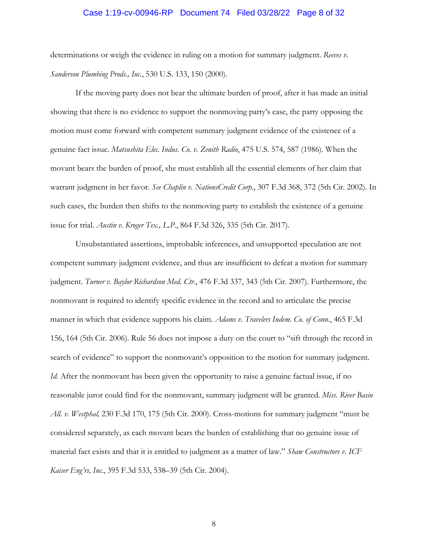## Case 1:19-cv-00946-RP Document 74 Filed 03/28/22 Page 8 of 32

determinations or weigh the evidence in ruling on a motion for summary judgment. *Reeves v. Sanderson Plumbing Prods., Inc.*, 530 U.S. 133, 150 (2000).

If the moving party does not bear the ultimate burden of proof, after it has made an initial showing that there is no evidence to support the nonmoving party's case, the party opposing the motion must come forward with competent summary judgment evidence of the existence of a genuine fact issue. *Matsushita Elec. Indus. Co. v. Zenith Radio*, 475 U.S. 574, 587 (1986). When the movant bears the burden of proof, she must establish all the essential elements of her claim that warrant judgment in her favor. *See Chaplin v. NationsCredit Corp.*, 307 F.3d 368, 372 (5th Cir. 2002). In such cases, the burden then shifts to the nonmoving party to establish the existence of a genuine issue for trial. *Austin v. Kroger Tex., L.P.*, 864 F.3d 326, 335 (5th Cir. 2017).

Unsubstantiated assertions, improbable inferences, and unsupported speculation are not competent summary judgment evidence, and thus are insufficient to defeat a motion for summary judgment. *Turner v. Baylor Richardson Med. Ctr.*, 476 F.3d 337, 343 (5th Cir. 2007). Furthermore, the nonmovant is required to identify specific evidence in the record and to articulate the precise manner in which that evidence supports his claim. *Adams v. Travelers Indem. Co. of Conn*., 465 F.3d 156, 164 (5th Cir. 2006). Rule 56 does not impose a duty on the court to "sift through the record in search of evidence" to support the nonmovant's opposition to the motion for summary judgment. *Id*. After the nonmovant has been given the opportunity to raise a genuine factual issue, if no reasonable juror could find for the nonmovant, summary judgment will be granted. *Miss. River Basin All. v. Westphal,* 230 F.3d 170, 175 (5th Cir. 2000). Cross-motions for summary judgment "must be considered separately, as each movant bears the burden of establishing that no genuine issue of material fact exists and that it is entitled to judgment as a matter of law." *Shaw Constructors v. ICF Kaiser Eng'rs, Inc.*, 395 F.3d 533, 538–39 (5th Cir. 2004).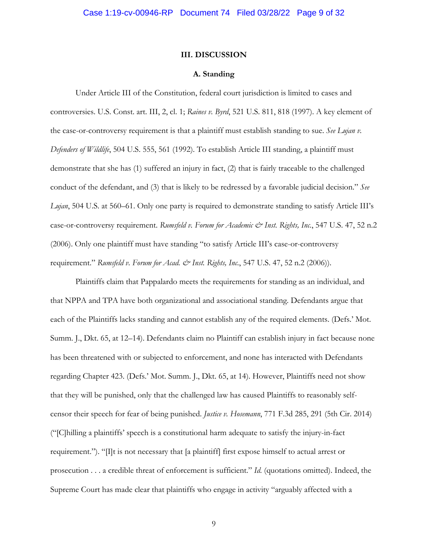### **III. DISCUSSION**

### **A. Standing**

 Under Article III of the Constitution, federal court jurisdiction is limited to cases and controversies. U.S. Const. art. III, 2, cl. 1; *Raines v. Byrd*, 521 U.S. 811, 818 (1997). A key element of the case-or-controversy requirement is that a plaintiff must establish standing to sue. *See Lujan v. Defenders of Wildlife*, 504 U.S. 555, 561 (1992). To establish Article III standing, a plaintiff must demonstrate that she has (1) suffered an injury in fact, (2) that is fairly traceable to the challenged conduct of the defendant, and (3) that is likely to be redressed by a favorable judicial decision." *See Lujan*, 504 U.S. at 560–61. Only one party is required to demonstrate standing to satisfy Article III's case-or-controversy requirement. *Rumsfeld v. Forum for Academic & Inst. Rights, Inc.*, 547 U.S. 47, 52 n.2 (2006). Only one plaintiff must have standing "to satisfy Article III's case-or-controversy requirement." *Rumsfeld v. Forum for Acad. & Inst. Rights, Inc.*, 547 U.S. 47, 52 n.2 (2006)).

Plaintiffs claim that Pappalardo meets the requirements for standing as an individual, and that NPPA and TPA have both organizational and associational standing. Defendants argue that each of the Plaintiffs lacks standing and cannot establish any of the required elements. (Defs.' Mot. Summ. J., Dkt. 65, at 12–14). Defendants claim no Plaintiff can establish injury in fact because none has been threatened with or subjected to enforcement, and none has interacted with Defendants regarding Chapter 423. (Defs.' Mot. Summ. J., Dkt. 65, at 14). However, Plaintiffs need not show that they will be punished, only that the challenged law has caused Plaintiffs to reasonably selfcensor their speech for fear of being punished. *Justice v. Hosemann*, 771 F.3d 285, 291 (5th Cir. 2014) ("[C]hilling a plaintiffs' speech is a constitutional harm adequate to satisfy the injury-in-fact requirement."). "[I]t is not necessary that [a plaintiff] first expose himself to actual arrest or prosecution . . . a credible threat of enforcement is sufficient." *Id*. (quotations omitted). Indeed, the Supreme Court has made clear that plaintiffs who engage in activity "arguably affected with a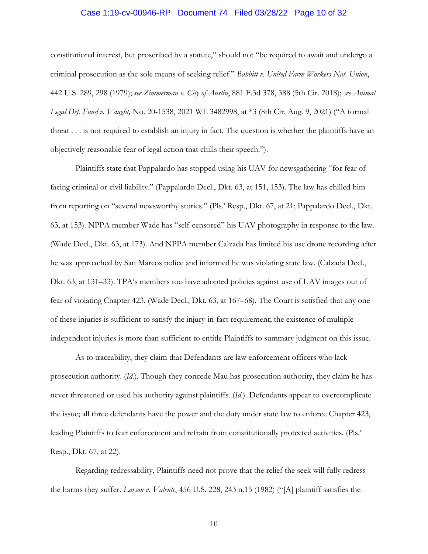# Case 1:19-cv-00946-RP Document 74 Filed 03/28/22 Page 10 of 32

constitutional interest, but proscribed by a statute," should not "be required to await and undergo a criminal prosecution as the sole means of seeking relief." *Babbitt v. United Farm Workers Nat. Union*, 442 U.S. 289, 298 (1979); *see Zimmerman v. City of Austin*, 881 F.3d 378, 388 (5th Cir. 2018); *see Animal Legal Def. Fund v. Vaught,* No. 20-1538, 2021 WL 3482998, at \*3 (8th Cir. Aug. 9, 2021) ("A formal threat . . . is not required to establish an injury in fact. The question is whether the plaintiffs have an objectively reasonable fear of legal action that chills their speech.").

Plaintiffs state that Pappalardo has stopped using his UAV for newsgathering "for fear of facing criminal or civil liability." (Pappalardo Decl., Dkt. 63, at 151, 153). The law has chilled him from reporting on "several newsworthy stories." (Pls.' Resp., Dkt. 67, at 21; Pappalardo Decl., Dkt. 63, at 153). NPPA member Wade has "self-censored" his UAV photography in response to the law. (Wade Decl., Dkt. 63, at 173). And NPPA member Calzada has limited his use drone recording after he was approached by San Marcos police and informed he was violating state law. (Calzada Decl., Dkt. 63, at 131–33). TPA's members too have adopted policies against use of UAV images out of fear of violating Chapter 423. (Wade Decl., Dkt. 63, at 167–68). The Court is satisfied that any one of these injuries is sufficient to satisfy the injury-in-fact requirement; the existence of multiple independent injuries is more than sufficient to entitle Plaintiffs to summary judgment on this issue.

As to traceability, they claim that Defendants are law enforcement officers who lack prosecution authority. (*Id.*). Though they concede Mau has prosecution authority, they claim he has never threatened or used his authority against plaintiffs. (*Id.*). Defendants appear to overcomplicate the issue; all three defendants have the power and the duty under state law to enforce Chapter 423, leading Plaintiffs to fear enforcement and refrain from constitutionally protected activities. (Pls.' Resp., Dkt. 67, at 22).

Regarding redressability, Plaintiffs need not prove that the relief the seek will fully redress the harms they suffer. *Larson v. Valente*, 456 U.S. 228, 243 n.15 (1982) ("[A] plaintiff satisfies the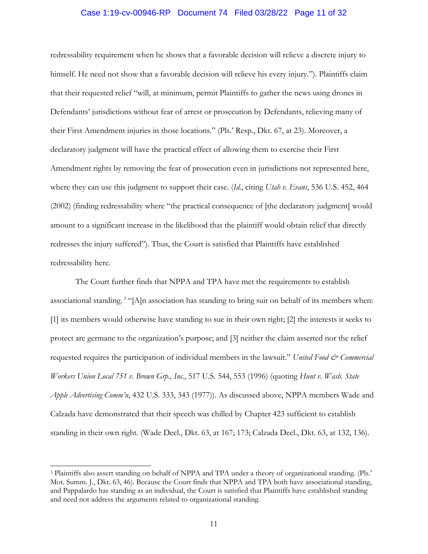# Case 1:19-cv-00946-RP Document 74 Filed 03/28/22 Page 11 of 32

redressability requirement when he shows that a favorable decision will relieve a discrete injury to himself. He need not show that a favorable decision will relieve his every injury."). Plaintiffs claim that their requested relief "will, at minimum, permit Plaintiffs to gather the news using drones in Defendants' jurisdictions without fear of arrest or prosecution by Defendants, relieving many of their First Amendment injuries in those locations." (Pls.' Resp., Dkt. 67, at 23). Moreover, a declaratory judgment will have the practical effect of allowing them to exercise their First Amendment rights by removing the fear of prosecution even in jurisdictions not represented here, where they can use this judgment to support their case. (*Id.*, citing *Utah v. Evans*, 536 U.S. 452, 464 (2002) (finding redressability where "the practical consequence of [the declaratory judgment] would amount to a significant increase in the likelihood that the plaintiff would obtain relief that directly redresses the injury suffered"). Thus, the Court is satisfied that Plaintiffs have established redressability here.

The Court further finds that NPPA and TPA have met the requirements to establish associational standing. 3 "[A]n association has standing to bring suit on behalf of its members when: [1] its members would otherwise have standing to sue in their own right; [2] the interests it seeks to protect are germane to the organization's purpose; and [3] neither the claim asserted nor the relief requested requires the participation of individual members in the lawsuit." *United Food & Commercial Workers Union Local 751 v. Brown Grp., Inc.*, 517 U.S. 544, 553 (1996) (quoting *Hunt v. Wash. State Apple Advertising Comm'n*, 432 U.S. 333, 343 (1977)). As discussed above, NPPA members Wade and Calzada have demonstrated that their speech was chilled by Chapter 423 sufficient to establish standing in their own right. (Wade Decl., Dkt. 63, at 167; 173; Calzada Decl., Dkt. 63, at 132, 136).

<sup>3</sup> Plaintiffs also assert standing on behalf of NPPA and TPA under a theory of organizational standing. (Pls.' Mot. Summ. J., Dkt. 63, 46). Because the Court finds that NPPA and TPA both have associational standing, and Pappalardo has standing as an individual, the Court is satisfied that Plaintiffs have established standing and need not address the arguments related to organizational standing.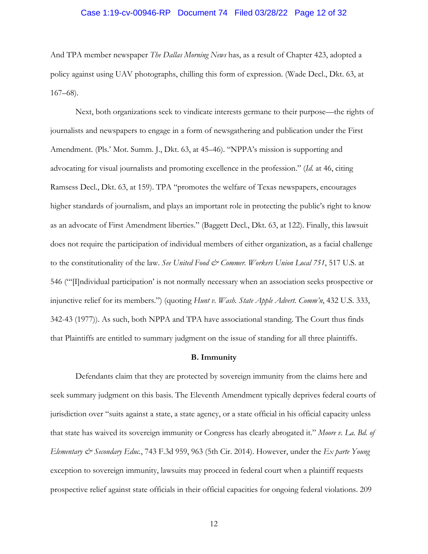# Case 1:19-cv-00946-RP Document 74 Filed 03/28/22 Page 12 of 32

And TPA member newspaper *The Dallas Morning News* has, as a result of Chapter 423, adopted a policy against using UAV photographs, chilling this form of expression. (Wade Decl., Dkt. 63, at 167–68).

Next, both organizations seek to vindicate interests germane to their purpose—the rights of journalists and newspapers to engage in a form of newsgathering and publication under the First Amendment. (Pls.' Mot. Summ. J., Dkt. 63, at 45–46). "NPPA's mission is supporting and advocating for visual journalists and promoting excellence in the profession." (*Id.* at 46, citing Ramsess Decl., Dkt. 63, at 159). TPA "promotes the welfare of Texas newspapers, encourages higher standards of journalism, and plays an important role in protecting the public's right to know as an advocate of First Amendment liberties." (Baggett Decl., Dkt. 63, at 122). Finally, this lawsuit does not require the participation of individual members of either organization, as a facial challenge to the constitutionality of the law. See United Food & Commer. Workers Union Local 751, 517 U.S. at 546 ("'[I]ndividual participation' is not normally necessary when an association seeks prospective or injunctive relief for its members.") (quoting *Hunt v. Wash. State Apple Advert. Comm'n*, 432 U.S. 333, 342-43 (1977)). As such, both NPPA and TPA have associational standing. The Court thus finds that Plaintiffs are entitled to summary judgment on the issue of standing for all three plaintiffs.

## **B. Immunity**

Defendants claim that they are protected by sovereign immunity from the claims here and seek summary judgment on this basis. The Eleventh Amendment typically deprives federal courts of jurisdiction over "suits against a state, a state agency, or a state official in his official capacity unless that state has waived its sovereign immunity or Congress has clearly abrogated it." *Moore v. La. Bd. of Elementary & Secondary Educ.*, 743 F.3d 959, 963 (5th Cir. 2014). However, under the *Ex parte Young* exception to sovereign immunity, lawsuits may proceed in federal court when a plaintiff requests prospective relief against state officials in their official capacities for ongoing federal violations. 209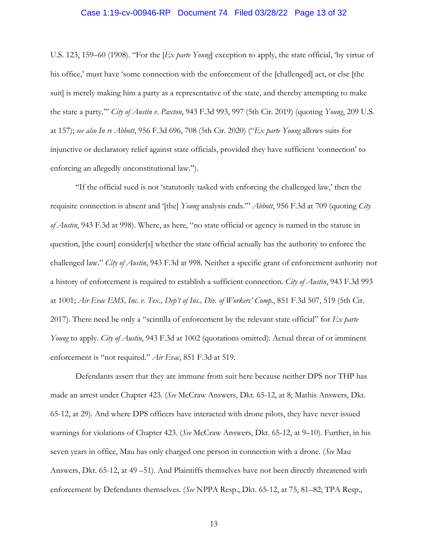# Case 1:19-cv-00946-RP Document 74 Filed 03/28/22 Page 13 of 32

U.S. 123, 159–60 (1908). "For the [*Ex parte Young*] exception to apply, the state official, 'by virtue of his office,' must have 'some connection with the enforcement of the [challenged] act, or else [the suit] is merely making him a party as a representative of the state, and thereby attempting to make the state a party.'" *City of Austin v. Paxton*, 943 F.3d 993, 997 (5th Cir. 2019) (quoting *Young*, 209 U.S. at 157); *see also In re Abbott*, 956 F.3d 696, 708 (5th Cir. 2020) ("*Ex parte Young* allows suits for injunctive or declaratory relief against state officials, provided they have sufficient 'connection' to enforcing an allegedly unconstitutional law.").

 "If the official sued is not 'statutorily tasked with enforcing the challenged law,' then the requisite connection is absent and '[the] *Young* analysis ends.'" *Abbott*, 956 F.3d at 709 (quoting *City of Austin*, 943 F.3d at 998). Where, as here, "no state official or agency is named in the statute in question, [the court] consider[s] whether the state official actually has the authority to enforce the challenged law." *City of Austin*, 943 F.3d at 998. Neither a specific grant of enforcement authority nor a history of enforcement is required to establish a sufficient connection. *City of Austin*, 943 F.3d 993 at 1001; *Air Evac EMS, Inc. v. Tex., Dep't of Ins., Div. of Workers' Comp.*, 851 F.3d 507, 519 (5th Cir. 2017). There need be only a "scintilla of enforcement by the relevant state official" for *Ex parte Young* to apply. *City of Austin*, 943 F.3d at 1002 (quotations omitted). Actual threat of or imminent enforcement is "not required." *Air Evac*, 851 F.3d at 519.

 Defendants assert that they are immune from suit here because neither DPS nor THP has made an arrest under Chapter 423. (*See* McCraw Answers, Dkt. 65-12, at 8; Mathis Answers, Dkt. 65-12, at 29). And where DPS officers have interacted with drone pilots, they have never issued warnings for violations of Chapter 423. (*See* McCraw Answers, Dkt. 65-12, at 9–10). Further, in his seven years in office, Mau has only charged one person in connection with a drone. (*See* Mau Answers, Dkt. 65-12, at 49 –51). And Plaintiffs themselves have not been directly threatened with enforcement by Defendants themselves. (*See* NPPA Resp., Dkt. 65-12, at 75, 81–82; TPA Resp.,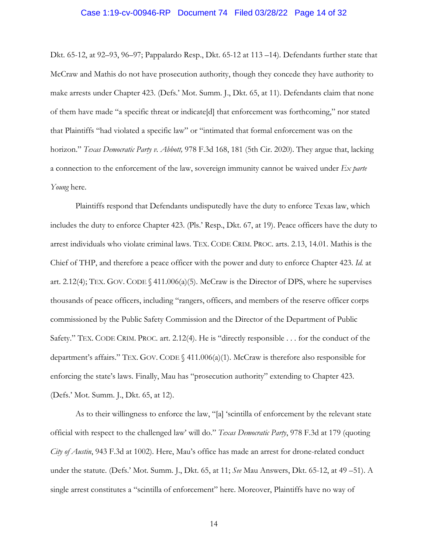# Case 1:19-cv-00946-RP Document 74 Filed 03/28/22 Page 14 of 32

Dkt. 65-12, at 92–93, 96–97; Pappalardo Resp., Dkt. 65-12 at 113 –14). Defendants further state that McCraw and Mathis do not have prosecution authority, though they concede they have authority to make arrests under Chapter 423. (Defs.' Mot. Summ. J., Dkt. 65, at 11). Defendants claim that none of them have made "a specific threat or indicate[d] that enforcement was forthcoming," nor stated that Plaintiffs "had violated a specific law" or "intimated that formal enforcement was on the horizon." *Texas Democratic Party v. Abbott,* 978 F.3d 168, 181 (5th Cir. 2020). They argue that, lacking a connection to the enforcement of the law, sovereign immunity cannot be waived under *Ex parte Young* here.

 Plaintiffs respond that Defendants undisputedly have the duty to enforce Texas law, which includes the duty to enforce Chapter 423. (Pls.' Resp., Dkt. 67, at 19). Peace officers have the duty to arrest individuals who violate criminal laws. TEX. CODE CRIM. PROC. arts. 2.13, 14.01. Mathis is the Chief of THP, and therefore a peace officer with the power and duty to enforce Chapter 423. *Id.* at art. 2.12(4); TEX. GOV. CODE  $\{\triangleleft 41.006(a)(5)$ . McCraw is the Director of DPS, where he supervises thousands of peace officers, including "rangers, officers, and members of the reserve officer corps commissioned by the Public Safety Commission and the Director of the Department of Public Safety." TEX. CODE CRIM. PROC. art. 2.12(4). He is "directly responsible . . . for the conduct of the department's affairs." TEX. GOV. CODE § 411.006(a)(1). McCraw is therefore also responsible for enforcing the state's laws. Finally, Mau has "prosecution authority" extending to Chapter 423. (Defs.' Mot. Summ. J., Dkt. 65, at 12).

 As to their willingness to enforce the law, "[a] 'scintilla of enforcement by the relevant state official with respect to the challenged law' will do." *Texas Democratic Party*, 978 F.3d at 179 (quoting *City of Austin*, 943 F.3d at 1002). Here, Mau's office has made an arrest for drone-related conduct under the statute. (Defs.' Mot. Summ. J., Dkt. 65, at 11; *See* Mau Answers, Dkt. 65-12, at 49 –51). A single arrest constitutes a "scintilla of enforcement" here. Moreover, Plaintiffs have no way of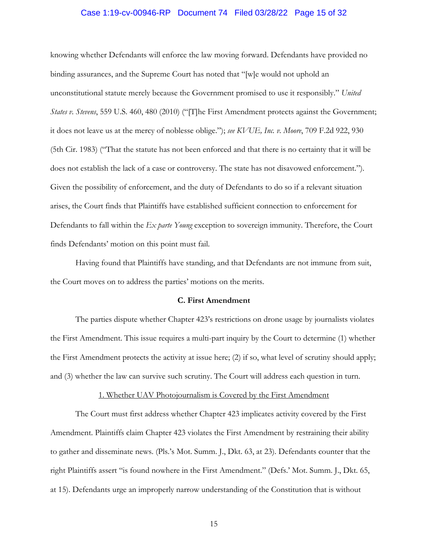# Case 1:19-cv-00946-RP Document 74 Filed 03/28/22 Page 15 of 32

knowing whether Defendants will enforce the law moving forward. Defendants have provided no binding assurances, and the Supreme Court has noted that "[w]e would not uphold an unconstitutional statute merely because the Government promised to use it responsibly." *United States v. Stevens*, 559 U.S. 460, 480 (2010) ("[T]he First Amendment protects against the Government; it does not leave us at the mercy of noblesse oblige."); *see KVUE, Inc. v. Moore*, 709 F.2d 922, 930 (5th Cir. 1983) ("That the statute has not been enforced and that there is no certainty that it will be does not establish the lack of a case or controversy. The state has not disavowed enforcement."). Given the possibility of enforcement, and the duty of Defendants to do so if a relevant situation arises, the Court finds that Plaintiffs have established sufficient connection to enforcement for Defendants to fall within the *Ex parte Young* exception to sovereign immunity. Therefore, the Court finds Defendants' motion on this point must fail.

Having found that Plaintiffs have standing, and that Defendants are not immune from suit, the Court moves on to address the parties' motions on the merits.

# **C. First Amendment**

 The parties dispute whether Chapter 423's restrictions on drone usage by journalists violates the First Amendment. This issue requires a multi-part inquiry by the Court to determine (1) whether the First Amendment protects the activity at issue here; (2) if so, what level of scrutiny should apply; and (3) whether the law can survive such scrutiny. The Court will address each question in turn.

#### 1. Whether UAV Photojournalism is Covered by the First Amendment

The Court must first address whether Chapter 423 implicates activity covered by the First Amendment. Plaintiffs claim Chapter 423 violates the First Amendment by restraining their ability to gather and disseminate news. (Pls.'s Mot. Summ. J., Dkt. 63, at 23). Defendants counter that the right Plaintiffs assert "is found nowhere in the First Amendment." (Defs.' Mot. Summ. J., Dkt. 65, at 15). Defendants urge an improperly narrow understanding of the Constitution that is without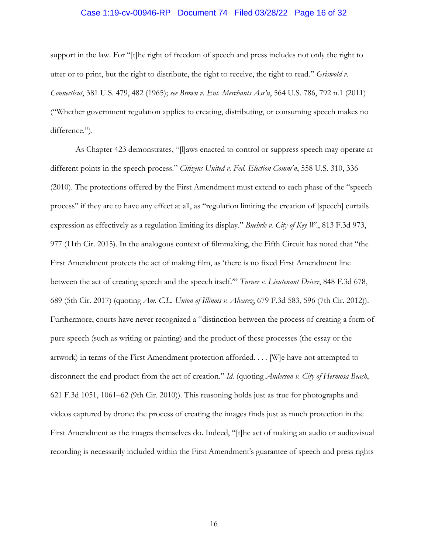# Case 1:19-cv-00946-RP Document 74 Filed 03/28/22 Page 16 of 32

support in the law. For "[t]he right of freedom of speech and press includes not only the right to utter or to print, but the right to distribute, the right to receive, the right to read." *Griswold v. Connecticut*, 381 U.S. 479, 482 (1965); *see Brown v. Ent. Merchants Ass'n*, 564 U.S. 786, 792 n.1 (2011) ("Whether government regulation applies to creating, distributing, or consuming speech makes no difference.").

As Chapter 423 demonstrates, "[l]aws enacted to control or suppress speech may operate at different points in the speech process." *Citizens United v. Fed. Election Comm'n*, 558 U.S. 310, 336 (2010). The protections offered by the First Amendment must extend to each phase of the "speech process" if they are to have any effect at all, as "regulation limiting the creation of [speech] curtails expression as effectively as a regulation limiting its display." *Buehrle v. City of Key W*., 813 F.3d 973, 977 (11th Cir. 2015). In the analogous context of filmmaking, the Fifth Circuit has noted that "the First Amendment protects the act of making film, as 'there is no fixed First Amendment line between the act of creating speech and the speech itself.'" *Turner v. Lieutenant Driver*, 848 F.3d 678, 689 (5th Cir. 2017) (quoting *Am. C.L. Union of Illinois v. Alvarez*, 679 F.3d 583, 596 (7th Cir. 2012)). Furthermore, courts have never recognized a "distinction between the process of creating a form of pure speech (such as writing or painting) and the product of these processes (the essay or the artwork) in terms of the First Amendment protection afforded. . . . [W]e have not attempted to disconnect the end product from the act of creation." *Id.* (quoting *Anderson v. City of Hermosa Beach*, 621 F.3d 1051, 1061–62 (9th Cir. 2010)). This reasoning holds just as true for photographs and videos captured by drone: the process of creating the images finds just as much protection in the First Amendment as the images themselves do. Indeed, "[t]he act of making an audio or audiovisual recording is necessarily included within the First Amendment's guarantee of speech and press rights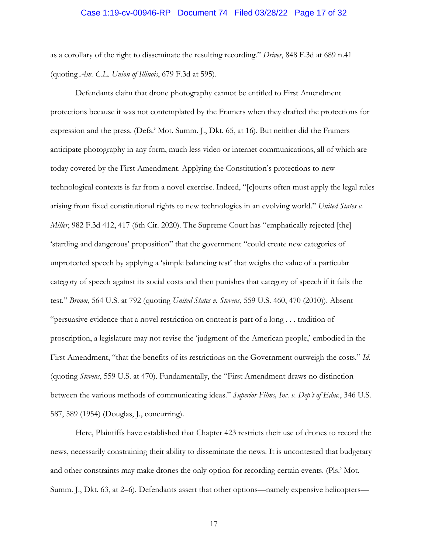## Case 1:19-cv-00946-RP Document 74 Filed 03/28/22 Page 17 of 32

as a corollary of the right to disseminate the resulting recording." *Driver*, 848 F.3d at 689 n.41 (quoting *Am. C.L. Union of Illinois*, 679 F.3d at 595).

Defendants claim that drone photography cannot be entitled to First Amendment protections because it was not contemplated by the Framers when they drafted the protections for expression and the press. (Defs.' Mot. Summ. J., Dkt. 65, at 16). But neither did the Framers anticipate photography in any form, much less video or internet communications, all of which are today covered by the First Amendment. Applying the Constitution's protections to new technological contexts is far from a novel exercise. Indeed, "[c]ourts often must apply the legal rules arising from fixed constitutional rights to new technologies in an evolving world." *United States v. Miller*, 982 F.3d 412, 417 (6th Cir. 2020). The Supreme Court has "emphatically rejected [the] 'startling and dangerous' proposition" that the government "could create new categories of unprotected speech by applying a 'simple balancing test' that weighs the value of a particular category of speech against its social costs and then punishes that category of speech if it fails the test." *Brown*, 564 U.S. at 792 (quoting *United States v. Stevens*, 559 U.S. 460, 470 (2010)). Absent "persuasive evidence that a novel restriction on content is part of a long . . . tradition of proscription, a legislature may not revise the 'judgment of the American people,' embodied in the First Amendment, "that the benefits of its restrictions on the Government outweigh the costs." *Id.*  (quoting *Stevens*, 559 U.S. at 470). Fundamentally, the "First Amendment draws no distinction between the various methods of communicating ideas." *Superior Films, Inc. v. Dep't of Educ.*, 346 U.S. 587, 589 (1954) (Douglas, J., concurring).

Here, Plaintiffs have established that Chapter 423 restricts their use of drones to record the news, necessarily constraining their ability to disseminate the news. It is uncontested that budgetary and other constraints may make drones the only option for recording certain events. (Pls.' Mot. Summ. J., Dkt. 63, at 2–6). Defendants assert that other options—namely expensive helicopters—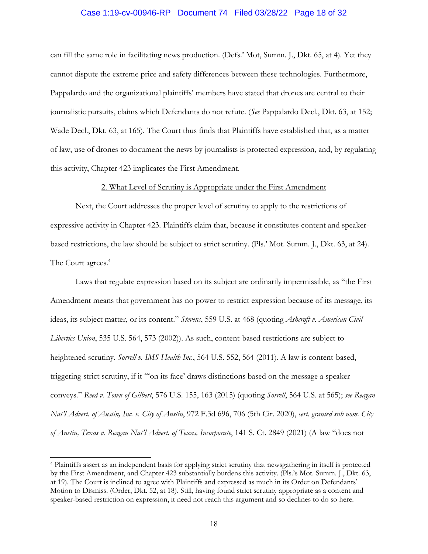# Case 1:19-cv-00946-RP Document 74 Filed 03/28/22 Page 18 of 32

can fill the same role in facilitating news production. (Defs.' Mot, Summ. J., Dkt. 65, at 4). Yet they cannot dispute the extreme price and safety differences between these technologies. Furthermore, Pappalardo and the organizational plaintiffs' members have stated that drones are central to their journalistic pursuits, claims which Defendants do not refute. (*See* Pappalardo Decl., Dkt. 63, at 152; Wade Decl., Dkt. 63, at 165). The Court thus finds that Plaintiffs have established that, as a matter of law, use of drones to document the news by journalists is protected expression, and, by regulating this activity, Chapter 423 implicates the First Amendment.

#### 2. What Level of Scrutiny is Appropriate under the First Amendment

 Next, the Court addresses the proper level of scrutiny to apply to the restrictions of expressive activity in Chapter 423. Plaintiffs claim that, because it constitutes content and speakerbased restrictions, the law should be subject to strict scrutiny. (Pls.' Mot. Summ. J., Dkt. 63, at 24). The Court agrees.<sup>4</sup>

Laws that regulate expression based on its subject are ordinarily impermissible, as "the First Amendment means that government has no power to restrict expression because of its message, its ideas, its subject matter, or its content." *Stevens*, 559 U.S. at 468 (quoting *Ashcroft v. American Civil Liberties Union*, 535 U.S. 564, 573 (2002)). As such, content-based restrictions are subject to heightened scrutiny. *Sorrell v. IMS Health Inc.*, 564 U.S. 552, 564 (2011). A law is content-based, triggering strict scrutiny, if it "'on its face' draws distinctions based on the message a speaker conveys." *Reed v. Town of Gilbert*, 576 U.S. 155, 163 (2015) (quoting *Sorrell*, 564 U.S. at 565); *see Reagan Nat'l Advert. of Austin, Inc. v. City of Austin*, 972 F.3d 696, 706 (5th Cir. 2020), *cert. granted sub nom. City of Austin, Texas v. Reagan Nat'l Advert. of Texas, Incorporate*, 141 S. Ct. 2849 (2021) (A law "does not

<sup>4</sup> Plaintiffs assert as an independent basis for applying strict scrutiny that newsgathering in itself is protected by the First Amendment, and Chapter 423 substantially burdens this activity. (Pls.'s Mot. Summ. J., Dkt. 63, at 19). The Court is inclined to agree with Plaintiffs and expressed as much in its Order on Defendants' Motion to Dismiss. (Order, Dkt. 52, at 18). Still, having found strict scrutiny appropriate as a content and speaker-based restriction on expression, it need not reach this argument and so declines to do so here.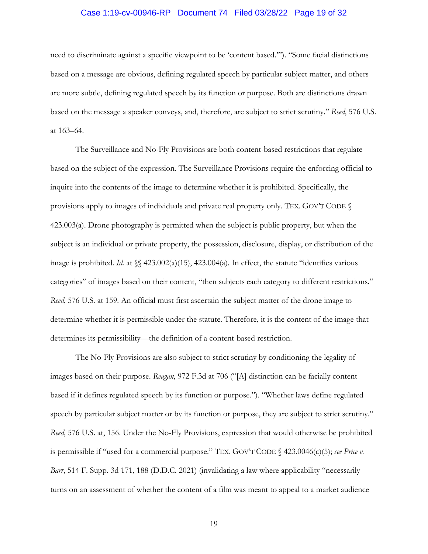# Case 1:19-cv-00946-RP Document 74 Filed 03/28/22 Page 19 of 32

need to discriminate against a specific viewpoint to be 'content based.'"). "Some facial distinctions based on a message are obvious, defining regulated speech by particular subject matter, and others are more subtle, defining regulated speech by its function or purpose. Both are distinctions drawn based on the message a speaker conveys, and, therefore, are subject to strict scrutiny." *Reed*, 576 U.S. at 163–64.

The Surveillance and No-Fly Provisions are both content-based restrictions that regulate based on the subject of the expression. The Surveillance Provisions require the enforcing official to inquire into the contents of the image to determine whether it is prohibited. Specifically, the provisions apply to images of individuals and private real property only. TEX. GOV'T CODE § 423.003(a). Drone photography is permitted when the subject is public property, but when the subject is an individual or private property, the possession, disclosure, display, or distribution of the image is prohibited. *Id.* at  $\{\$423.002(a)(15), 423.004(a)\]$ . In effect, the statute "identifies various" categories" of images based on their content, "then subjects each category to different restrictions." *Reed*, 576 U.S. at 159. An official must first ascertain the subject matter of the drone image to determine whether it is permissible under the statute. Therefore, it is the content of the image that determines its permissibility—the definition of a content-based restriction.

The No-Fly Provisions are also subject to strict scrutiny by conditioning the legality of images based on their purpose. *Reagan*, 972 F.3d at 706 ("[A] distinction can be facially content based if it defines regulated speech by its function or purpose."). "Whether laws define regulated speech by particular subject matter or by its function or purpose, they are subject to strict scrutiny." *Reed*, 576 U.S. at, 156. Under the No-Fly Provisions, expression that would otherwise be prohibited is permissible if "used for a commercial purpose." TEX. GOV'T CODE § 423.0046(c)(5); *see Price v. Barr*, 514 F. Supp. 3d 171, 188 (D.D.C. 2021) (invalidating a law where applicability "necessarily turns on an assessment of whether the content of a film was meant to appeal to a market audience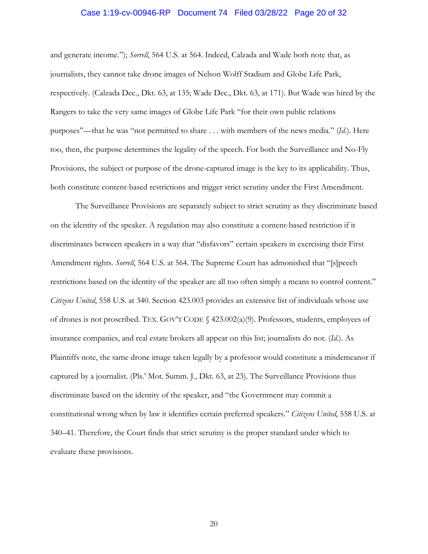## Case 1:19-cv-00946-RP Document 74 Filed 03/28/22 Page 20 of 32

and generate income."); *Sorrell*, 564 U.S. at 564. Indeed, Calzada and Wade both note that, as journalists, they cannot take drone images of Nelson Wolff Stadium and Globe Life Park, respectively. (Calzada Dec., Dkt. 63, at 135; Wade Dec., Dkt. 63, at 171). But Wade was hired by the Rangers to take the very same images of Globe Life Park "for their own public relations purposes"—that he was "not permitted to share . . . with members of the news media." (*Id.*). Here too, then, the purpose determines the legality of the speech. For both the Surveillance and No-Fly Provisions, the subject or purpose of the drone-captured image is the key to its applicability. Thus, both constitute content-based restrictions and trigger strict scrutiny under the First Amendment.

The Surveillance Provisions are separately subject to strict scrutiny as they discriminate based on the identity of the speaker. A regulation may also constitute a content-based restriction if it discriminates between speakers in a way that "disfavors" certain speakers in exercising their First Amendment rights. *Sorrell*, 564 U.S. at 564. The Supreme Court has admonished that "[s]peech restrictions based on the identity of the speaker are all too often simply a means to control content." *Citizens United*, 558 U.S. at 340. Section 423.003 provides an extensive list of individuals whose use of drones is not proscribed. TEX. GOV'T CODE  $\S$  423.002(a)(9). Professors, students, employees of insurance companies, and real estate brokers all appear on this list; journalists do not. (*Id.*). As Plaintiffs note, the same drone image taken legally by a professor would constitute a misdemeanor if captured by a journalist. (Pls.' Mot. Summ. J., Dkt. 63, at 23). The Surveillance Provisions thus discriminate based on the identity of the speaker, and "the Government may commit a constitutional wrong when by law it identifies certain preferred speakers." *Citizens United*, 558 U.S. at 340–41. Therefore, the Court finds that strict scrutiny is the proper standard under which to evaluate these provisions.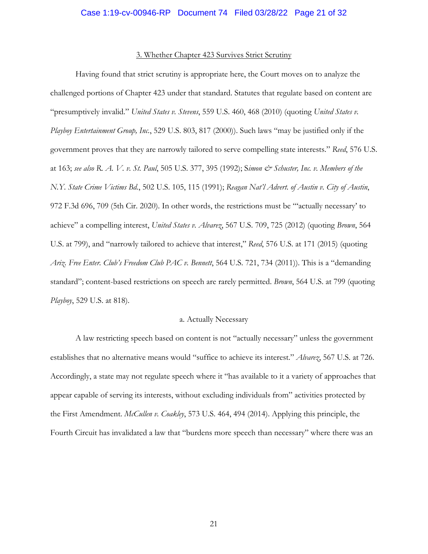### 3. Whether Chapter 423 Survives Strict Scrutiny

 Having found that strict scrutiny is appropriate here, the Court moves on to analyze the challenged portions of Chapter 423 under that standard. Statutes that regulate based on content are "presumptively invalid." *United States v. Stevens*, 559 U.S. 460, 468 (2010) (quoting *United States v. Playboy Entertainment Group, Inc.*, 529 U.S. 803, 817 (2000)). Such laws "may be justified only if the government proves that they are narrowly tailored to serve compelling state interests." *Reed*, 576 U.S. at 163; *see also R. A. V. v. St. Paul*, 505 U.S. 377, 395 (1992); S*imon & Schuster, Inc. v. Members of the N.Y. State Crime Victims Bd.*, 502 U.S. 105, 115 (1991); *Reagan Nat'l Advert. of Austin v. City of Austin*, 972 F.3d 696, 709 (5th Cir. 2020). In other words, the restrictions must be "'actually necessary' to achieve" a compelling interest, *United States v. Alvarez*, 567 U.S. 709, 725 (2012) (quoting *Brown*, 564 U.S. at 799), and "narrowly tailored to achieve that interest," *Reed*, 576 U.S. at 171 (2015) (quoting *Ariz. Free Enter. Club's Freedom Club PAC v. Bennett*, 564 U.S. 721, 734 (2011)). This is a "demanding standard"; content-based restrictions on speech are rarely permitted. *Brown*, 564 U.S. at 799 (quoting *Playboy*, 529 U.S. at 818).

### a. Actually Necessary

 A law restricting speech based on content is not "actually necessary" unless the government establishes that no alternative means would "suffice to achieve its interest." *Alvarez*, 567 U.S. at 726. Accordingly, a state may not regulate speech where it "has available to it a variety of approaches that appear capable of serving its interests, without excluding individuals from" activities protected by the First Amendment. *McCullen v. Coakley*, 573 U.S. 464, 494 (2014). Applying this principle, the Fourth Circuit has invalidated a law that "burdens more speech than necessary" where there was an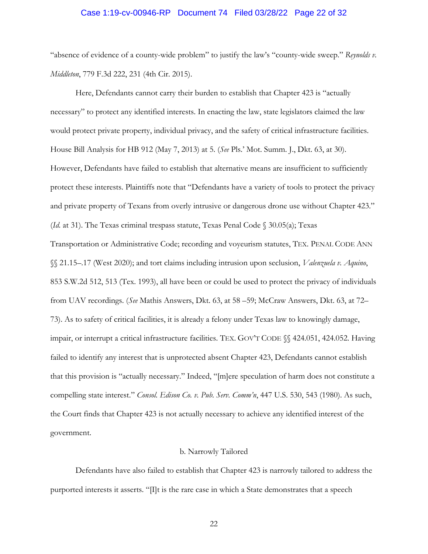# Case 1:19-cv-00946-RP Document 74 Filed 03/28/22 Page 22 of 32

"absence of evidence of a county-wide problem" to justify the law's "county-wide sweep." *Reynolds v. Middleton*, 779 F.3d 222, 231 (4th Cir. 2015).

 Here, Defendants cannot carry their burden to establish that Chapter 423 is "actually necessary" to protect any identified interests. In enacting the law, state legislators claimed the law would protect private property, individual privacy, and the safety of critical infrastructure facilities. House Bill Analysis for HB 912 (May 7, 2013) at 5. (*See* Pls.' Mot. Summ. J., Dkt. 63, at 30). However, Defendants have failed to establish that alternative means are insufficient to sufficiently protect these interests. Plaintiffs note that "Defendants have a variety of tools to protect the privacy and private property of Texans from overly intrusive or dangerous drone use without Chapter 423." (*Id.* at 31). The Texas criminal trespass statute, Texas Penal Code § 30.05(a); Texas Transportation or Administrative Code; recording and voyeurism statutes, TEX. PENAL CODE ANN §§ 21.15–.17 (West 2020); and tort claims including intrusion upon seclusion, *Valenzuela v. Aquino*, 853 S.W.2d 512, 513 (Tex. 1993), all have been or could be used to protect the privacy of individuals from UAV recordings. (*See* Mathis Answers, Dkt. 63, at 58 –59; McCraw Answers, Dkt. 63, at 72– 73). As to safety of critical facilities, it is already a felony under Texas law to knowingly damage, impair, or interrupt a critical infrastructure facilities. TEX. GOV'T CODE §§ 424.051, 424.052. Having failed to identify any interest that is unprotected absent Chapter 423, Defendants cannot establish that this provision is "actually necessary." Indeed, "[m]ere speculation of harm does not constitute a compelling state interest." *Consol. Edison Co. v. Pub. Serv. Comm'n*, 447 U.S. 530, 543 (1980). As such, the Court finds that Chapter 423 is not actually necessary to achieve any identified interest of the government.

### b. Narrowly Tailored

Defendants have also failed to establish that Chapter 423 is narrowly tailored to address the purported interests it asserts. "[I]t is the rare case in which a State demonstrates that a speech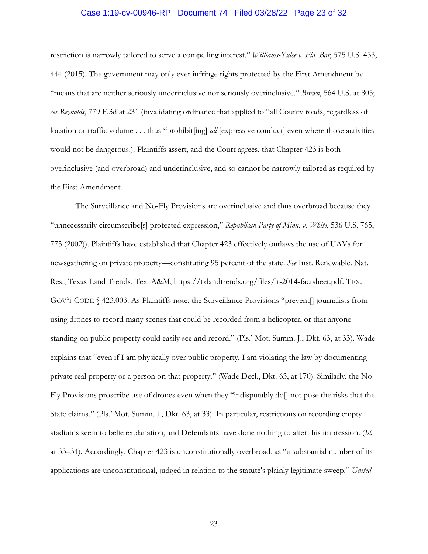# Case 1:19-cv-00946-RP Document 74 Filed 03/28/22 Page 23 of 32

restriction is narrowly tailored to serve a compelling interest." *Williams-Yulee v. Fla. Bar*, 575 U.S. 433, 444 (2015). The government may only ever infringe rights protected by the First Amendment by "means that are neither seriously underinclusive nor seriously overinclusive." *Brown*, 564 U.S. at 805; *see Reynolds*, 779 F.3d at 231 (invalidating ordinance that applied to "all County roads, regardless of location or traffic volume . . . thus "prohibit[ing] *all* [expressive conduct] even where those activities would not be dangerous.). Plaintiffs assert, and the Court agrees, that Chapter 423 is both overinclusive (and overbroad) and underinclusive, and so cannot be narrowly tailored as required by the First Amendment.

The Surveillance and No-Fly Provisions are overinclusive and thus overbroad because they "unnecessarily circumscribe[s] protected expression," *Republican Party of Minn. v. White*, 536 U.S. 765, 775 (2002)). Plaintiffs have established that Chapter 423 effectively outlaws the use of UAVs for newsgathering on private property—constituting 95 percent of the state. *See* Inst. Renewable. Nat. Res., Texas Land Trends, Tex. A&M, https://txlandtrends.org/files/lt-2014-factsheet.pdf. TEX. GOV'T CODE § 423.003. As Plaintiffs note, the Surveillance Provisions "prevent[] journalists from using drones to record many scenes that could be recorded from a helicopter, or that anyone standing on public property could easily see and record." (Pls.' Mot. Summ. J., Dkt. 63, at 33). Wade explains that "even if I am physically over public property, I am violating the law by documenting private real property or a person on that property." (Wade Decl., Dkt. 63, at 170). Similarly, the No-Fly Provisions proscribe use of drones even when they "indisputably do[] not pose the risks that the State claims." (Pls.' Mot. Summ. J., Dkt. 63, at 33). In particular, restrictions on recording empty stadiums seem to belie explanation, and Defendants have done nothing to alter this impression. (*Id.*  at 33–34). Accordingly, Chapter 423 is unconstitutionally overbroad, as "a substantial number of its applications are unconstitutional, judged in relation to the statute's plainly legitimate sweep." *United*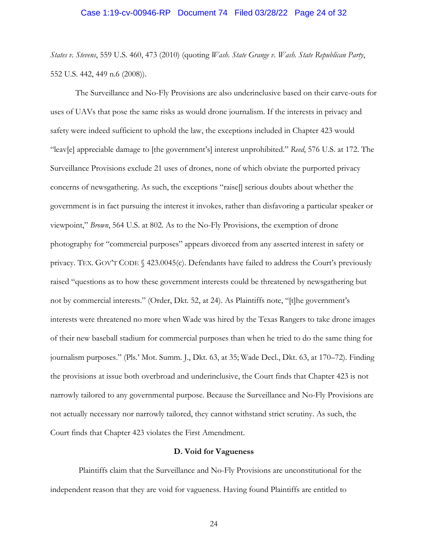## Case 1:19-cv-00946-RP Document 74 Filed 03/28/22 Page 24 of 32

*States v. Stevens*, 559 U.S. 460, 473 (2010) (quoting *Wash. State Grange v. Wash. State Republican Party*, 552 U.S. 442, 449 n.6 (2008)).

The Surveillance and No-Fly Provisions are also underinclusive based on their carve-outs for uses of UAVs that pose the same risks as would drone journalism. If the interests in privacy and safety were indeed sufficient to uphold the law, the exceptions included in Chapter 423 would "leav[e] appreciable damage to [the government's] interest unprohibited." *Reed*, 576 U.S. at 172. The Surveillance Provisions exclude 21 uses of drones, none of which obviate the purported privacy concerns of newsgathering. As such, the exceptions "raise[] serious doubts about whether the government is in fact pursuing the interest it invokes, rather than disfavoring a particular speaker or viewpoint," *Brown*, 564 U.S. at 802. As to the No-Fly Provisions, the exemption of drone photography for "commercial purposes" appears divorced from any asserted interest in safety or privacy. TEX. GOV'T CODE § 423.0045(c). Defendants have failed to address the Court's previously raised "questions as to how these government interests could be threatened by newsgathering but not by commercial interests." (Order, Dkt. 52, at 24). As Plaintiffs note, "[t]he government's interests were threatened no more when Wade was hired by the Texas Rangers to take drone images of their new baseball stadium for commercial purposes than when he tried to do the same thing for journalism purposes." (Pls.' Mot. Summ. J., Dkt. 63, at 35; Wade Decl., Dkt. 63, at 170–72). Finding the provisions at issue both overbroad and underinclusive, the Court finds that Chapter 423 is not narrowly tailored to any governmental purpose. Because the Surveillance and No-Fly Provisions are not actually necessary nor narrowly tailored, they cannot withstand strict scrutiny. As such, the Court finds that Chapter 423 violates the First Amendment.

### **D. Void for Vagueness**

Plaintiffs claim that the Surveillance and No-Fly Provisions are unconstitutional for the independent reason that they are void for vagueness. Having found Plaintiffs are entitled to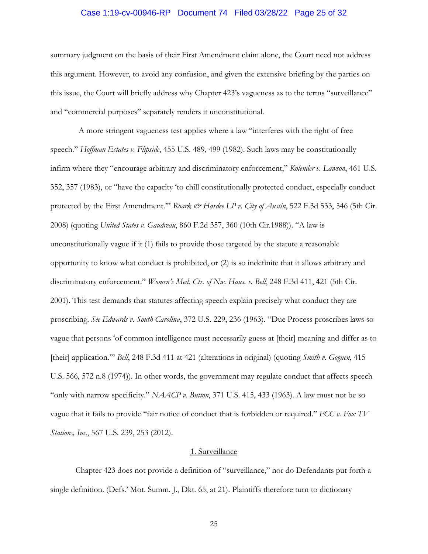# Case 1:19-cv-00946-RP Document 74 Filed 03/28/22 Page 25 of 32

summary judgment on the basis of their First Amendment claim alone, the Court need not address this argument. However, to avoid any confusion, and given the extensive briefing by the parties on this issue, the Court will briefly address why Chapter 423's vagueness as to the terms "surveillance" and "commercial purposes" separately renders it unconstitutional.

A more stringent vagueness test applies where a law "interferes with the right of free speech." *Hoffman Estates v. Flipside*, 455 U.S. 489, 499 (1982). Such laws may be constitutionally infirm where they "encourage arbitrary and discriminatory enforcement," *Kolender v. Lawson*, 461 U.S. 352, 357 (1983), or "have the capacity 'to chill constitutionally protected conduct, especially conduct protected by the First Amendment."" *Roark & Hardee LP v. City of Austin*, 522 F.3d 533, 546 (5th Cir. 2008) (quoting *United States v. Gaudreau*, 860 F.2d 357, 360 (10th Cir.1988)). "A law is unconstitutionally vague if it (1) fails to provide those targeted by the statute a reasonable opportunity to know what conduct is prohibited, or (2) is so indefinite that it allows arbitrary and discriminatory enforcement." *Women's Med. Ctr. of Nw. Haus. v. Bell*, 248 F.3d 411, 421 (5th Cir. 2001). This test demands that statutes affecting speech explain precisely what conduct they are proscribing. *See Edwards v. South Carolina*, 372 U.S. 229, 236 (1963). "Due Process proscribes laws so vague that persons 'of common intelligence must necessarily guess at [their] meaning and differ as to [their] application.'" *Bell*, 248 F.3d 411 at 421 (alterations in original) (quoting *Smith v. Goguen*, 415 U.S. 566, 572 n.8 (1974)). In other words, the government may regulate conduct that affects speech "only with narrow specificity." *NAACP v. Button*, 371 U.S. 415, 433 (1963). A law must not be so vague that it fails to provide "fair notice of conduct that is forbidden or required." *FCC v. Fox TV Stations, Inc.*, 567 U.S. 239, 253 (2012).

## 1. Surveillance

Chapter 423 does not provide a definition of "surveillance," nor do Defendants put forth a single definition. (Defs.' Mot. Summ. J., Dkt. 65, at 21). Plaintiffs therefore turn to dictionary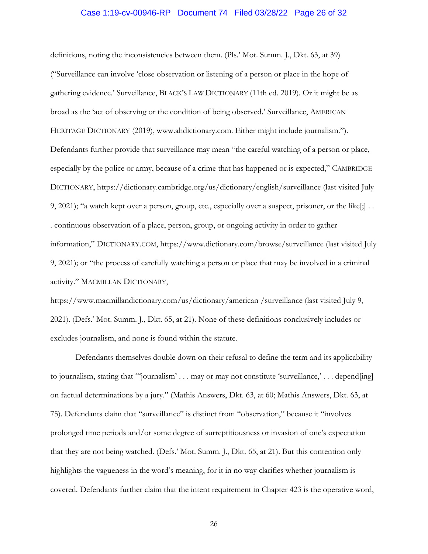# Case 1:19-cv-00946-RP Document 74 Filed 03/28/22 Page 26 of 32

definitions, noting the inconsistencies between them. (Pls.' Mot. Summ. J., Dkt. 63, at 39) ("Surveillance can involve 'close observation or listening of a person or place in the hope of gathering evidence.' Surveillance, BLACK'S LAW DICTIONARY (11th ed. 2019). Or it might be as broad as the 'act of observing or the condition of being observed.' Surveillance, AMERICAN HERITAGE DICTIONARY (2019), www.ahdictionary.com. Either might include journalism."). Defendants further provide that surveillance may mean "the careful watching of a person or place, especially by the police or army, because of a crime that has happened or is expected," CAMBRIDGE DICTIONARY, https://dictionary.cambridge.org/us/dictionary/english/surveillance (last visited July 9, 2021); "a watch kept over a person, group, etc., especially over a suspect, prisoner, or the like[;] . . . continuous observation of a place, person, group, or ongoing activity in order to gather information," DICTIONARY.COM, https://www.dictionary.com/browse/surveillance (last visited July 9, 2021); or "the process of carefully watching a person or place that may be involved in a criminal activity." MACMILLAN DICTIONARY,

https://www.macmillandictionary.com/us/dictionary/american /surveillance (last visited July 9, 2021). (Defs.' Mot. Summ. J., Dkt. 65, at 21). None of these definitions conclusively includes or excludes journalism, and none is found within the statute.

Defendants themselves double down on their refusal to define the term and its applicability to journalism, stating that "'journalism' . . . may or may not constitute 'surveillance,' . . . depend[ing] on factual determinations by a jury." (Mathis Answers, Dkt. 63, at 60; Mathis Answers, Dkt. 63, at 75). Defendants claim that "surveillance" is distinct from "observation," because it "involves prolonged time periods and/or some degree of surreptitiousness or invasion of one's expectation that they are not being watched. (Defs.' Mot. Summ. J., Dkt. 65, at 21). But this contention only highlights the vagueness in the word's meaning, for it in no way clarifies whether journalism is covered. Defendants further claim that the intent requirement in Chapter 423 is the operative word,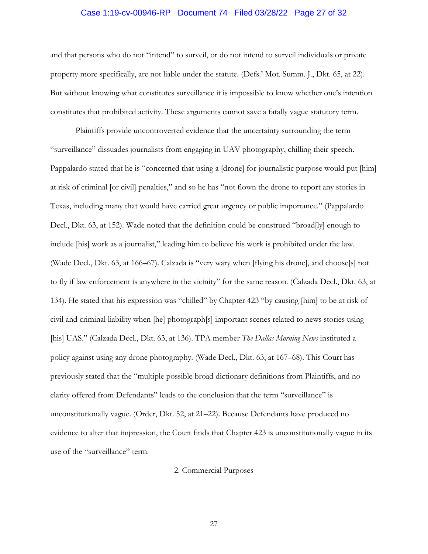# Case 1:19-cv-00946-RP Document 74 Filed 03/28/22 Page 27 of 32

and that persons who do not "intend" to surveil, or do not intend to surveil individuals or private property more specifically, are not liable under the statute. (Defs.' Mot. Summ. J., Dkt. 65, at 22). But without knowing what constitutes surveillance it is impossible to know whether one's intention constitutes that prohibited activity. These arguments cannot save a fatally vague statutory term.

Plaintiffs provide uncontroverted evidence that the uncertainty surrounding the term "surveillance" dissuades journalists from engaging in UAV photography, chilling their speech. Pappalardo stated that he is "concerned that using a [drone] for journalistic purpose would put [him] at risk of criminal [or civil] penalties," and so he has "not flown the drone to report any stories in Texas, including many that would have carried great urgency or public importance." (Pappalardo Decl., Dkt. 63, at 152). Wade noted that the definition could be construed "broad[ly] enough to include [his] work as a journalist," leading him to believe his work is prohibited under the law. (Wade Decl., Dkt. 63, at 166–67). Calzada is "very wary when [flying his drone], and choose[s] not to fly if law enforcement is anywhere in the vicinity" for the same reason. (Calzada Decl., Dkt. 63, at 134). He stated that his expression was "chilled" by Chapter 423 "by causing [him] to be at risk of civil and criminal liability when [he] photograph[s] important scenes related to news stories using [his] UAS." (Calzada Decl., Dkt. 63, at 136). TPA member *The Dallas Morning News* instituted a policy against using any drone photography. (Wade Decl., Dkt. 63, at 167–68). This Court has previously stated that the "multiple possible broad dictionary definitions from Plaintiffs, and no clarity offered from Defendants" leads to the conclusion that the term "surveillance" is unconstitutionally vague. (Order, Dkt. 52, at 21–22). Because Defendants have produced no evidence to alter that impression, the Court finds that Chapter 423 is unconstitutionally vague in its use of the "surveillance" term.

# 2. Commercial Purposes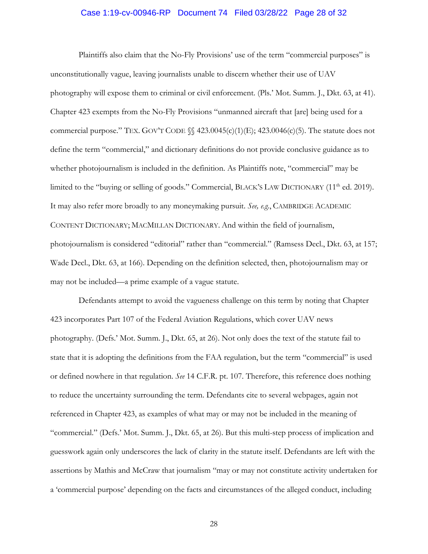# Case 1:19-cv-00946-RP Document 74 Filed 03/28/22 Page 28 of 32

Plaintiffs also claim that the No-Fly Provisions' use of the term "commercial purposes" is unconstitutionally vague, leaving journalists unable to discern whether their use of UAV photography will expose them to criminal or civil enforcement. (Pls.' Mot. Summ. J., Dkt. 63, at 41). Chapter 423 exempts from the No-Fly Provisions "unmanned aircraft that [are] being used for a commercial purpose." TEX. GOV'T CODE  $\mathcal{S}$  423.0045(c)(1)(E); 423.0046(c)(5). The statute does not define the term "commercial," and dictionary definitions do not provide conclusive guidance as to whether photojournalism is included in the definition. As Plaintiffs note, "commercial" may be limited to the "buying or selling of goods." Commercial, BLACK'S LAW DICTIONARY (11<sup>th</sup> ed. 2019). It may also refer more broadly to any moneymaking pursuit. *See, e.g.*, CAMBRIDGE ACADEMIC CONTENT DICTIONARY; MACMILLAN DICTIONARY. And within the field of journalism, photojournalism is considered "editorial" rather than "commercial." (Ramsess Decl., Dkt. 63, at 157; Wade Decl., Dkt. 63, at 166). Depending on the definition selected, then, photojournalism may or may not be included—a prime example of a vague statute.

Defendants attempt to avoid the vagueness challenge on this term by noting that Chapter 423 incorporates Part 107 of the Federal Aviation Regulations, which cover UAV news photography. (Defs.' Mot. Summ. J., Dkt. 65, at 26). Not only does the text of the statute fail to state that it is adopting the definitions from the FAA regulation, but the term "commercial" is used or defined nowhere in that regulation. *See* 14 C.F.R. pt. 107. Therefore, this reference does nothing to reduce the uncertainty surrounding the term. Defendants cite to several webpages, again not referenced in Chapter 423, as examples of what may or may not be included in the meaning of "commercial." (Defs.' Mot. Summ. J., Dkt. 65, at 26). But this multi-step process of implication and guesswork again only underscores the lack of clarity in the statute itself. Defendants are left with the assertions by Mathis and McCraw that journalism "may or may not constitute activity undertaken for a 'commercial purpose' depending on the facts and circumstances of the alleged conduct, including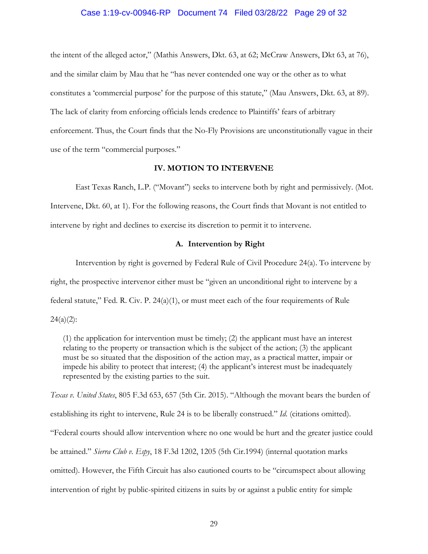## Case 1:19-cv-00946-RP Document 74 Filed 03/28/22 Page 29 of 32

the intent of the alleged actor," (Mathis Answers, Dkt. 63, at 62; McCraw Answers, Dkt 63, at 76), and the similar claim by Mau that he "has never contended one way or the other as to what constitutes a 'commercial purpose' for the purpose of this statute," (Mau Answers, Dkt. 63, at 89). The lack of clarity from enforcing officials lends credence to Plaintiffs' fears of arbitrary enforcement. Thus, the Court finds that the No-Fly Provisions are unconstitutionally vague in their use of the term "commercial purposes."

### **IV. MOTION TO INTERVENE**

East Texas Ranch, L.P. ("Movant") seeks to intervene both by right and permissively. (Mot. Intervene, Dkt. 60, at 1). For the following reasons, the Court finds that Movant is not entitled to intervene by right and declines to exercise its discretion to permit it to intervene.

## **A. Intervention by Right**

Intervention by right is governed by Federal Rule of Civil Procedure 24(a). To intervene by right, the prospective intervenor either must be "given an unconditional right to intervene by a federal statute," Fed. R. Civ. P.  $24(a)(1)$ , or must meet each of the four requirements of Rule  $24(a)(2)$ :

(1) the application for intervention must be timely; (2) the applicant must have an interest relating to the property or transaction which is the subject of the action; (3) the applicant must be so situated that the disposition of the action may, as a practical matter, impair or impede his ability to protect that interest; (4) the applicant's interest must be inadequately represented by the existing parties to the suit.

*Texas v. United States*, 805 F.3d 653, 657 (5th Cir. 2015). "Although the movant bears the burden of establishing its right to intervene, Rule 24 is to be liberally construed." *Id*. (citations omitted). "Federal courts should allow intervention where no one would be hurt and the greater justice could be attained." *Sierra Club v. Espy*, 18 F.3d 1202, 1205 (5th Cir.1994) (internal quotation marks omitted). However, the Fifth Circuit has also cautioned courts to be "circumspect about allowing intervention of right by public-spirited citizens in suits by or against a public entity for simple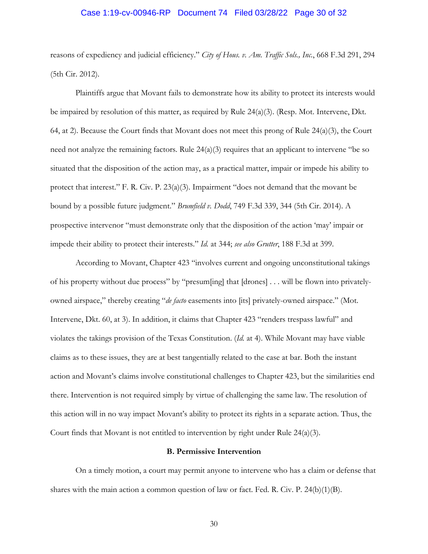# Case 1:19-cv-00946-RP Document 74 Filed 03/28/22 Page 30 of 32

reasons of expediency and judicial efficiency." *City of Hous. v. Am. Traffic Sols., Inc.*, 668 F.3d 291, 294 (5th Cir. 2012).

 Plaintiffs argue that Movant fails to demonstrate how its ability to protect its interests would be impaired by resolution of this matter, as required by Rule 24(a)(3). (Resp. Mot. Intervene, Dkt. 64, at 2). Because the Court finds that Movant does not meet this prong of Rule  $24(a)(3)$ , the Court need not analyze the remaining factors. Rule 24(a)(3) requires that an applicant to intervene "be so situated that the disposition of the action may, as a practical matter, impair or impede his ability to protect that interest." F. R. Civ. P. 23(a)(3). Impairment "does not demand that the movant be bound by a possible future judgment." *Brumfield v. Dodd*, 749 F.3d 339, 344 (5th Cir. 2014). A prospective intervenor "must demonstrate only that the disposition of the action 'may' impair or impede their ability to protect their interests." *Id.* at 344; *see also Grutter*, 188 F.3d at 399.

 According to Movant, Chapter 423 "involves current and ongoing unconstitutional takings of his property without due process" by "presum[ing] that [drones] . . . will be flown into privatelyowned airspace," thereby creating "*de facto* easements into [its] privately-owned airspace." (Mot. Intervene, Dkt. 60, at 3). In addition, it claims that Chapter 423 "renders trespass lawful" and violates the takings provision of the Texas Constitution. (*Id.* at 4). While Movant may have viable claims as to these issues, they are at best tangentially related to the case at bar. Both the instant action and Movant's claims involve constitutional challenges to Chapter 423, but the similarities end there. Intervention is not required simply by virtue of challenging the same law. The resolution of this action will in no way impact Movant's ability to protect its rights in a separate action. Thus, the Court finds that Movant is not entitled to intervention by right under Rule  $24(a)(3)$ .

### **B. Permissive Intervention**

 On a timely motion, a court may permit anyone to intervene who has a claim or defense that shares with the main action a common question of law or fact. Fed. R. Civ. P. 24(b)(1)(B).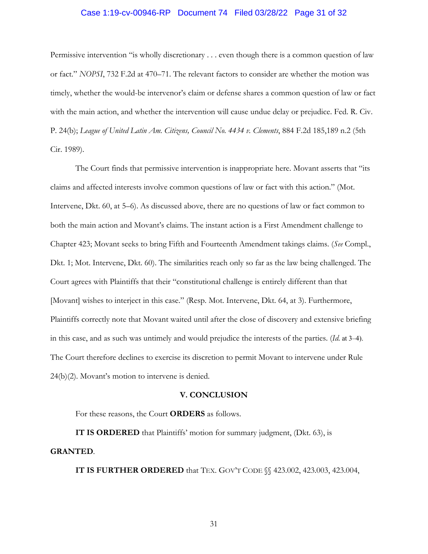# Case 1:19-cv-00946-RP Document 74 Filed 03/28/22 Page 31 of 32

Permissive intervention "is wholly discretionary . . . even though there is a common question of law or fact." *NOPSI*, 732 F.2d at 470–71. The relevant factors to consider are whether the motion was timely, whether the would-be intervenor's claim or defense shares a common question of law or fact with the main action, and whether the intervention will cause undue delay or prejudice. Fed. R. Civ. P. 24(b); *League of United Latin Am. Citizens, Council No. 4434 v. Clements*, 884 F.2d 185,189 n.2 (5th Cir. 1989).

The Court finds that permissive intervention is inappropriate here. Movant asserts that "its claims and affected interests involve common questions of law or fact with this action." (Mot. Intervene, Dkt. 60, at 5–6). As discussed above, there are no questions of law or fact common to both the main action and Movant's claims. The instant action is a First Amendment challenge to Chapter 423; Movant seeks to bring Fifth and Fourteenth Amendment takings claims. (*See* Compl., Dkt. 1; Mot. Intervene, Dkt. 60). The similarities reach only so far as the law being challenged. The Court agrees with Plaintiffs that their "constitutional challenge is entirely different than that [Movant] wishes to interject in this case." (Resp. Mot. Intervene, Dkt. 64, at 3). Furthermore, Plaintiffs correctly note that Movant waited until after the close of discovery and extensive briefing in this case, and as such was untimely and would prejudice the interests of the parties. (*Id.* at 3–4). The Court therefore declines to exercise its discretion to permit Movant to intervene under Rule 24(b)(2). Movant's motion to intervene is denied.

#### **V. CONCLUSION**

For these reasons, the Court **ORDERS** as follows.

**IT IS ORDERED** that Plaintiffs' motion for summary judgment, (Dkt. 63), is **GRANTED**.

**IT IS FURTHER ORDERED** that TEX. GOV'T CODE §§ 423.002, 423.003, 423.004,